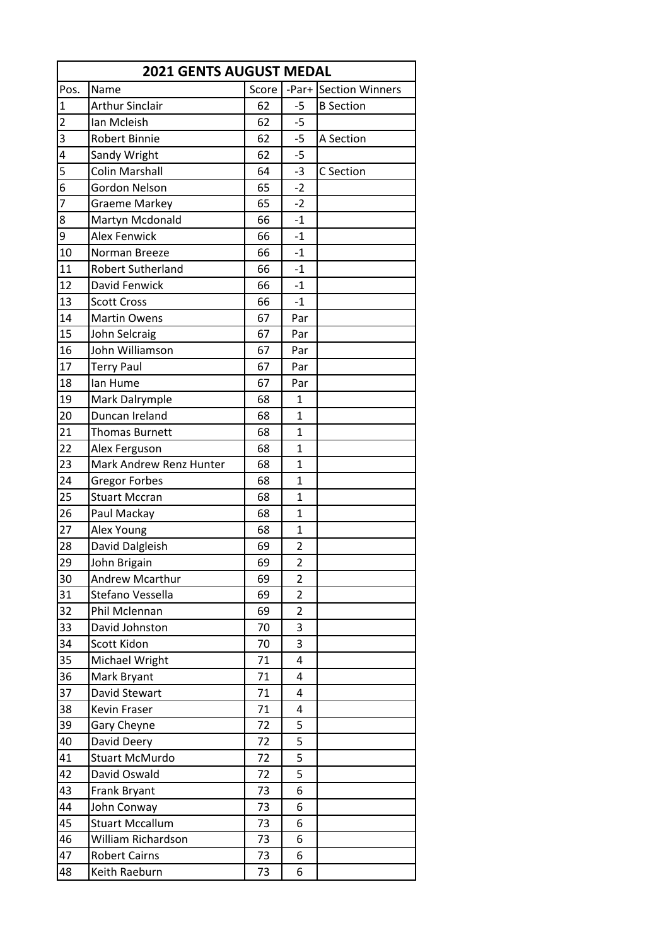|                 | <b>2021 GENTS AUGUST MEDAL</b> |       |                |                       |  |  |
|-----------------|--------------------------------|-------|----------------|-----------------------|--|--|
| Pos.            | Name                           | Score |                | -Par+ Section Winners |  |  |
| $\overline{1}$  | <b>Arthur Sinclair</b>         | 62    | $-5$           | <b>B</b> Section      |  |  |
| $\overline{2}$  | Ian Mcleish                    | 62    | $-5$           |                       |  |  |
| 3               | <b>Robert Binnie</b>           | 62    | $-5$           | A Section             |  |  |
| $\overline{4}$  | Sandy Wright                   | 62    | $-5$           |                       |  |  |
| 5               | <b>Colin Marshall</b>          | 64    | $-3$           | C Section             |  |  |
| $\overline{6}$  | Gordon Nelson                  | 65    | $-2$           |                       |  |  |
| $\overline{7}$  | <b>Graeme Markey</b>           | 65    | $-2$           |                       |  |  |
| 8               | Martyn Mcdonald                | 66    | $-1$           |                       |  |  |
| 9               | <b>Alex Fenwick</b>            | 66    | $-1$           |                       |  |  |
| 10              | Norman Breeze                  | 66    | $-1$           |                       |  |  |
| 11              | Robert Sutherland              | 66    | $-1$           |                       |  |  |
| 12              | David Fenwick                  | 66    | $-1$           |                       |  |  |
| 13              | <b>Scott Cross</b>             | 66    | $-1$           |                       |  |  |
| 14              | <b>Martin Owens</b>            | 67    | Par            |                       |  |  |
| 15              | John Selcraig                  | 67    | Par            |                       |  |  |
| 16              | John Williamson                | 67    | Par            |                       |  |  |
| 17              | <b>Terry Paul</b>              | 67    | Par            |                       |  |  |
| 18              | lan Hume                       | 67    | Par            |                       |  |  |
| 19              | Mark Dalrymple                 | 68    | $\mathbf{1}$   |                       |  |  |
| 20              | Duncan Ireland                 | 68    | $\mathbf{1}$   |                       |  |  |
| 21              | <b>Thomas Burnett</b>          | 68    | $\mathbf{1}$   |                       |  |  |
| 22              | Alex Ferguson                  | 68    | $\mathbf{1}$   |                       |  |  |
| $\overline{23}$ | Mark Andrew Renz Hunter        | 68    | $\mathbf{1}$   |                       |  |  |
| 24              | <b>Gregor Forbes</b>           | 68    | $\mathbf{1}$   |                       |  |  |
| 25              | <b>Stuart Mccran</b>           | 68    | 1              |                       |  |  |
| 26              | Paul Mackay                    | 68    | $\mathbf{1}$   |                       |  |  |
| 27              | Alex Young                     | 68    | $\mathbf{1}$   |                       |  |  |
| 28              | David Dalgleish                | 69    | 2              |                       |  |  |
| 29              | John Brigain                   | 69    | $\overline{2}$ |                       |  |  |
| 30              | Andrew Mcarthur                | 69    | 2              |                       |  |  |
| 31              | Stefano Vessella               | 69    | 2              |                       |  |  |
| 32              | Phil Mclennan                  | 69    | 2              |                       |  |  |
| 33              | David Johnston                 | 70    | 3              |                       |  |  |
| 34              | Scott Kidon                    | 70    | 3              |                       |  |  |
| 35              | Michael Wright                 | 71    | 4              |                       |  |  |
| 36              | Mark Bryant                    | 71    | 4              |                       |  |  |
| 37              | David Stewart                  | 71    | 4              |                       |  |  |
| 38              | Kevin Fraser                   | 71    | 4              |                       |  |  |
| 39              | Gary Cheyne                    | 72    | 5              |                       |  |  |
| 40              | David Deery                    | 72    | 5              |                       |  |  |
| 41              | <b>Stuart McMurdo</b>          | 72    | 5              |                       |  |  |
| 42              | David Oswald                   | 72    | 5              |                       |  |  |
| 43              | Frank Bryant                   | 73    | 6              |                       |  |  |
| 44              | John Conway                    | 73    | 6              |                       |  |  |
| 45              | <b>Stuart Mccallum</b>         | 73    | 6              |                       |  |  |
| 46              | William Richardson             | 73    | 6              |                       |  |  |
| 47              | <b>Robert Cairns</b>           | 73    | 6              |                       |  |  |
| 48              | Keith Raeburn                  | 73    | 6              |                       |  |  |